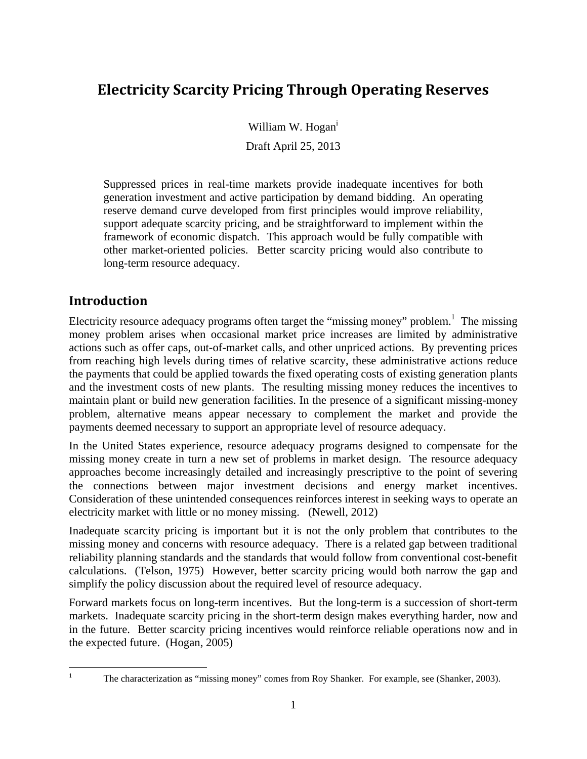# **Electricity Scarcity Pricing Through Operating Reserves**

William W. Hogan<sup>i</sup>

Draft April 25, 2013

Suppressed prices in real-time markets provide inadequate incentives for both generation investment and active participation by demand bidding. An operating reserve demand curve developed from first principles would improve reliability, support adequate scarcity pricing, and be straightforward to implement within the framework of economic dispatch. This approach would be fully compatible with other market-oriented policies. Better scarcity pricing would also contribute to long-term resource adequacy.

# **Introduction**

Electricity resource adequacy programs often target the "missing money" problem.<sup>1</sup> The missing money problem arises when occasional market price increases are limited by administrative actions such as offer caps, out-of-market calls, and other unpriced actions. By preventing prices from reaching high levels during times of relative scarcity, these administrative actions reduce the payments that could be applied towards the fixed operating costs of existing generation plants and the investment costs of new plants. The resulting missing money reduces the incentives to maintain plant or build new generation facilities. In the presence of a significant missing-money problem, alternative means appear necessary to complement the market and provide the payments deemed necessary to support an appropriate level of resource adequacy.

In the United States experience, resource adequacy programs designed to compensate for the missing money create in turn a new set of problems in market design. The resource adequacy approaches become increasingly detailed and increasingly prescriptive to the point of severing the connections between major investment decisions and energy market incentives. Consideration of these unintended consequences reinforces interest in seeking ways to operate an electricity market with little or no money missing. (Newell, 2012)

Inadequate scarcity pricing is important but it is not the only problem that contributes to the missing money and concerns with resource adequacy. There is a related gap between traditional reliability planning standards and the standards that would follow from conventional cost-benefit calculations. (Telson, 1975) However, better scarcity pricing would both narrow the gap and simplify the policy discussion about the required level of resource adequacy.

Forward markets focus on long-term incentives. But the long-term is a succession of short-term markets. Inadequate scarcity pricing in the short-term design makes everything harder, now and in the future. Better scarcity pricing incentives would reinforce reliable operations now and in the expected future. (Hogan, 2005)

 $\frac{1}{1}$ 

The characterization as "missing money" comes from Roy Shanker. For example, see (Shanker, 2003).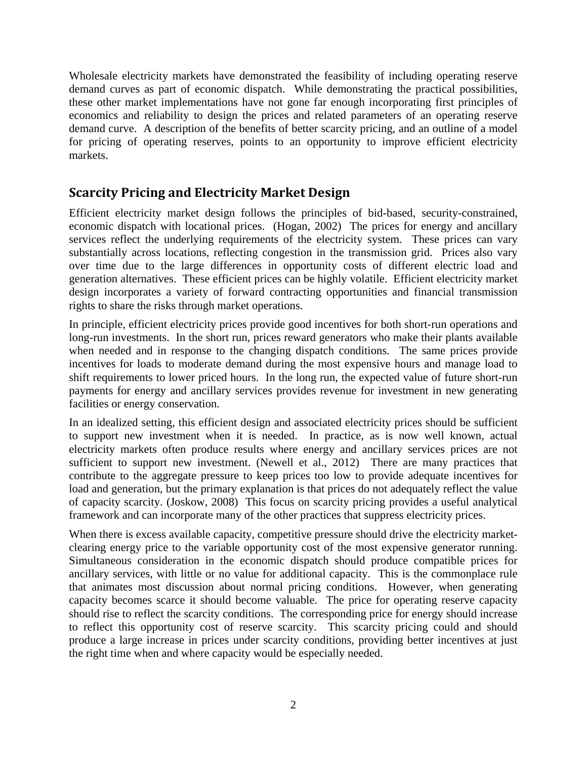Wholesale electricity markets have demonstrated the feasibility of including operating reserve demand curves as part of economic dispatch. While demonstrating the practical possibilities, these other market implementations have not gone far enough incorporating first principles of economics and reliability to design the prices and related parameters of an operating reserve demand curve. A description of the benefits of better scarcity pricing, and an outline of a model for pricing of operating reserves, points to an opportunity to improve efficient electricity markets.

## **Scarcity Pricing and Electricity Market Design**

Efficient electricity market design follows the principles of bid-based, security-constrained, economic dispatch with locational prices. (Hogan, 2002) The prices for energy and ancillary services reflect the underlying requirements of the electricity system. These prices can vary substantially across locations, reflecting congestion in the transmission grid. Prices also vary over time due to the large differences in opportunity costs of different electric load and generation alternatives. These efficient prices can be highly volatile. Efficient electricity market design incorporates a variety of forward contracting opportunities and financial transmission rights to share the risks through market operations.

In principle, efficient electricity prices provide good incentives for both short-run operations and long-run investments. In the short run, prices reward generators who make their plants available when needed and in response to the changing dispatch conditions. The same prices provide incentives for loads to moderate demand during the most expensive hours and manage load to shift requirements to lower priced hours. In the long run, the expected value of future short-run payments for energy and ancillary services provides revenue for investment in new generating facilities or energy conservation.

In an idealized setting, this efficient design and associated electricity prices should be sufficient to support new investment when it is needed. In practice, as is now well known, actual electricity markets often produce results where energy and ancillary services prices are not sufficient to support new investment. (Newell et al., 2012) There are many practices that contribute to the aggregate pressure to keep prices too low to provide adequate incentives for load and generation, but the primary explanation is that prices do not adequately reflect the value of capacity scarcity. (Joskow, 2008) This focus on scarcity pricing provides a useful analytical framework and can incorporate many of the other practices that suppress electricity prices.

When there is excess available capacity, competitive pressure should drive the electricity marketclearing energy price to the variable opportunity cost of the most expensive generator running. Simultaneous consideration in the economic dispatch should produce compatible prices for ancillary services, with little or no value for additional capacity. This is the commonplace rule that animates most discussion about normal pricing conditions. However, when generating capacity becomes scarce it should become valuable. The price for operating reserve capacity should rise to reflect the scarcity conditions. The corresponding price for energy should increase to reflect this opportunity cost of reserve scarcity. This scarcity pricing could and should produce a large increase in prices under scarcity conditions, providing better incentives at just the right time when and where capacity would be especially needed.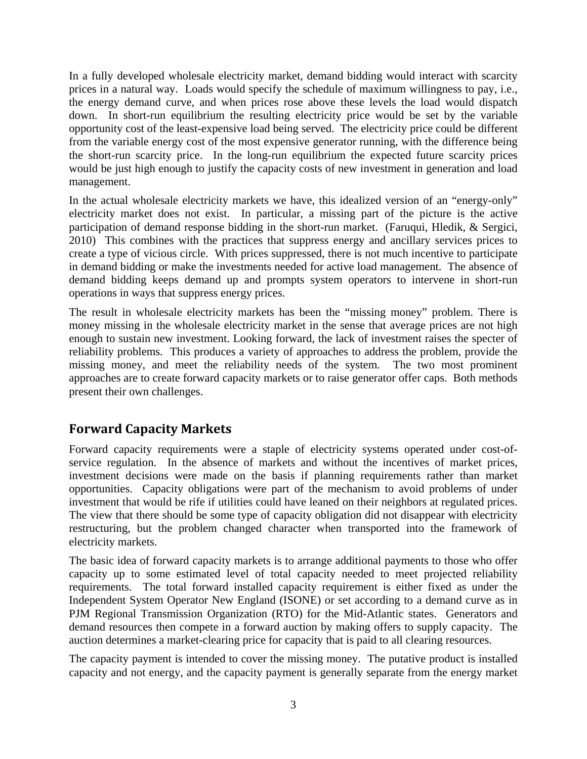In a fully developed wholesale electricity market, demand bidding would interact with scarcity prices in a natural way. Loads would specify the schedule of maximum willingness to pay, i.e., the energy demand curve, and when prices rose above these levels the load would dispatch down. In short-run equilibrium the resulting electricity price would be set by the variable opportunity cost of the least-expensive load being served. The electricity price could be different from the variable energy cost of the most expensive generator running, with the difference being the short-run scarcity price. In the long-run equilibrium the expected future scarcity prices would be just high enough to justify the capacity costs of new investment in generation and load management.

In the actual wholesale electricity markets we have, this idealized version of an "energy-only" electricity market does not exist. In particular, a missing part of the picture is the active participation of demand response bidding in the short-run market. (Faruqui, Hledik, & Sergici, 2010) This combines with the practices that suppress energy and ancillary services prices to create a type of vicious circle. With prices suppressed, there is not much incentive to participate in demand bidding or make the investments needed for active load management. The absence of demand bidding keeps demand up and prompts system operators to intervene in short-run operations in ways that suppress energy prices.

The result in wholesale electricity markets has been the "missing money" problem. There is money missing in the wholesale electricity market in the sense that average prices are not high enough to sustain new investment. Looking forward, the lack of investment raises the specter of reliability problems. This produces a variety of approaches to address the problem, provide the missing money, and meet the reliability needs of the system. The two most prominent approaches are to create forward capacity markets or to raise generator offer caps. Both methods present their own challenges.

# **Forward Capacity Markets**

Forward capacity requirements were a staple of electricity systems operated under cost-ofservice regulation. In the absence of markets and without the incentives of market prices, investment decisions were made on the basis if planning requirements rather than market opportunities. Capacity obligations were part of the mechanism to avoid problems of under investment that would be rife if utilities could have leaned on their neighbors at regulated prices. The view that there should be some type of capacity obligation did not disappear with electricity restructuring, but the problem changed character when transported into the framework of electricity markets.

The basic idea of forward capacity markets is to arrange additional payments to those who offer capacity up to some estimated level of total capacity needed to meet projected reliability requirements. The total forward installed capacity requirement is either fixed as under the Independent System Operator New England (ISONE) or set according to a demand curve as in PJM Regional Transmission Organization (RTO) for the Mid-Atlantic states. Generators and demand resources then compete in a forward auction by making offers to supply capacity. The auction determines a market-clearing price for capacity that is paid to all clearing resources.

The capacity payment is intended to cover the missing money. The putative product is installed capacity and not energy, and the capacity payment is generally separate from the energy market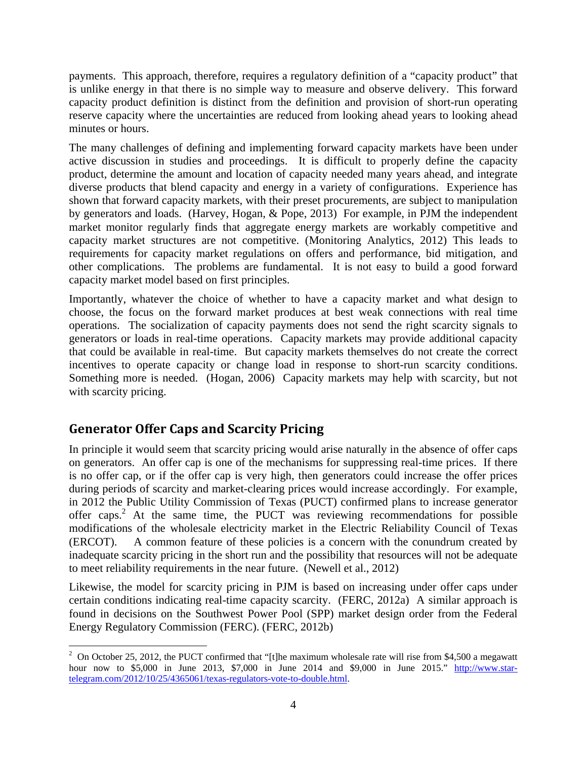payments. This approach, therefore, requires a regulatory definition of a "capacity product" that is unlike energy in that there is no simple way to measure and observe delivery. This forward capacity product definition is distinct from the definition and provision of short-run operating reserve capacity where the uncertainties are reduced from looking ahead years to looking ahead minutes or hours.

The many challenges of defining and implementing forward capacity markets have been under active discussion in studies and proceedings. It is difficult to properly define the capacity product, determine the amount and location of capacity needed many years ahead, and integrate diverse products that blend capacity and energy in a variety of configurations. Experience has shown that forward capacity markets, with their preset procurements, are subject to manipulation by generators and loads. (Harvey, Hogan, & Pope, 2013) For example, in PJM the independent market monitor regularly finds that aggregate energy markets are workably competitive and capacity market structures are not competitive. (Monitoring Analytics, 2012) This leads to requirements for capacity market regulations on offers and performance, bid mitigation, and other complications. The problems are fundamental. It is not easy to build a good forward capacity market model based on first principles.

Importantly, whatever the choice of whether to have a capacity market and what design to choose, the focus on the forward market produces at best weak connections with real time operations. The socialization of capacity payments does not send the right scarcity signals to generators or loads in real-time operations. Capacity markets may provide additional capacity that could be available in real-time. But capacity markets themselves do not create the correct incentives to operate capacity or change load in response to short-run scarcity conditions. Something more is needed. (Hogan, 2006) Capacity markets may help with scarcity, but not with scarcity pricing.

# **Generator Offer Caps and Scarcity Pricing**

In principle it would seem that scarcity pricing would arise naturally in the absence of offer caps on generators. An offer cap is one of the mechanisms for suppressing real-time prices. If there is no offer cap, or if the offer cap is very high, then generators could increase the offer prices during periods of scarcity and market-clearing prices would increase accordingly. For example, in 2012 the Public Utility Commission of Texas (PUCT) confirmed plans to increase generator offer caps.<sup>2</sup> At the same time, the PUCT was reviewing recommendations for possible modifications of the wholesale electricity market in the Electric Reliability Council of Texas (ERCOT). A common feature of these policies is a concern with the conundrum created by inadequate scarcity pricing in the short run and the possibility that resources will not be adequate to meet reliability requirements in the near future. (Newell et al., 2012)

Likewise, the model for scarcity pricing in PJM is based on increasing under offer caps under certain conditions indicating real-time capacity scarcity. (FERC, 2012a) A similar approach is found in decisions on the Southwest Power Pool (SPP) market design order from the Federal Energy Regulatory Commission (FERC). (FERC, 2012b)

 $\overline{a}$ <sup>2</sup> On October 25, 2012, the PUCT confirmed that "[t]he maximum wholesale rate will rise from \$4,500 a megawatt hour now to \$5,000 in June 2013, \$7,000 in June 2014 and \$9,000 in June 2015." http://www.startelegram.com/2012/10/25/4365061/texas-regulators-vote-to-double.html.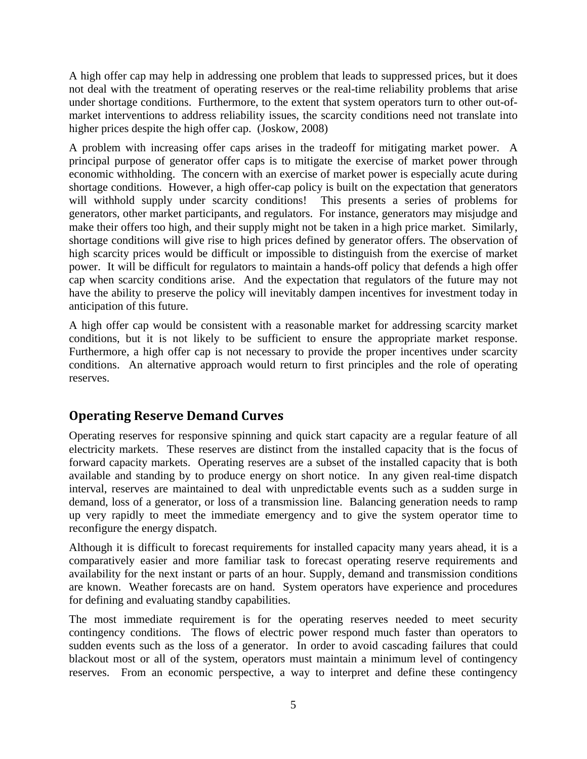A high offer cap may help in addressing one problem that leads to suppressed prices, but it does not deal with the treatment of operating reserves or the real-time reliability problems that arise under shortage conditions. Furthermore, to the extent that system operators turn to other out-ofmarket interventions to address reliability issues, the scarcity conditions need not translate into higher prices despite the high offer cap. (Joskow, 2008)

A problem with increasing offer caps arises in the tradeoff for mitigating market power. A principal purpose of generator offer caps is to mitigate the exercise of market power through economic withholding. The concern with an exercise of market power is especially acute during shortage conditions. However, a high offer-cap policy is built on the expectation that generators will withhold supply under scarcity conditions! This presents a series of problems for generators, other market participants, and regulators. For instance, generators may misjudge and make their offers too high, and their supply might not be taken in a high price market. Similarly, shortage conditions will give rise to high prices defined by generator offers. The observation of high scarcity prices would be difficult or impossible to distinguish from the exercise of market power. It will be difficult for regulators to maintain a hands-off policy that defends a high offer cap when scarcity conditions arise. And the expectation that regulators of the future may not have the ability to preserve the policy will inevitably dampen incentives for investment today in anticipation of this future.

A high offer cap would be consistent with a reasonable market for addressing scarcity market conditions, but it is not likely to be sufficient to ensure the appropriate market response. Furthermore, a high offer cap is not necessary to provide the proper incentives under scarcity conditions. An alternative approach would return to first principles and the role of operating reserves.

# **Operating Reserve Demand Curves**

Operating reserves for responsive spinning and quick start capacity are a regular feature of all electricity markets. These reserves are distinct from the installed capacity that is the focus of forward capacity markets. Operating reserves are a subset of the installed capacity that is both available and standing by to produce energy on short notice. In any given real-time dispatch interval, reserves are maintained to deal with unpredictable events such as a sudden surge in demand, loss of a generator, or loss of a transmission line. Balancing generation needs to ramp up very rapidly to meet the immediate emergency and to give the system operator time to reconfigure the energy dispatch.

Although it is difficult to forecast requirements for installed capacity many years ahead, it is a comparatively easier and more familiar task to forecast operating reserve requirements and availability for the next instant or parts of an hour. Supply, demand and transmission conditions are known. Weather forecasts are on hand. System operators have experience and procedures for defining and evaluating standby capabilities.

The most immediate requirement is for the operating reserves needed to meet security contingency conditions. The flows of electric power respond much faster than operators to sudden events such as the loss of a generator. In order to avoid cascading failures that could blackout most or all of the system, operators must maintain a minimum level of contingency reserves. From an economic perspective, a way to interpret and define these contingency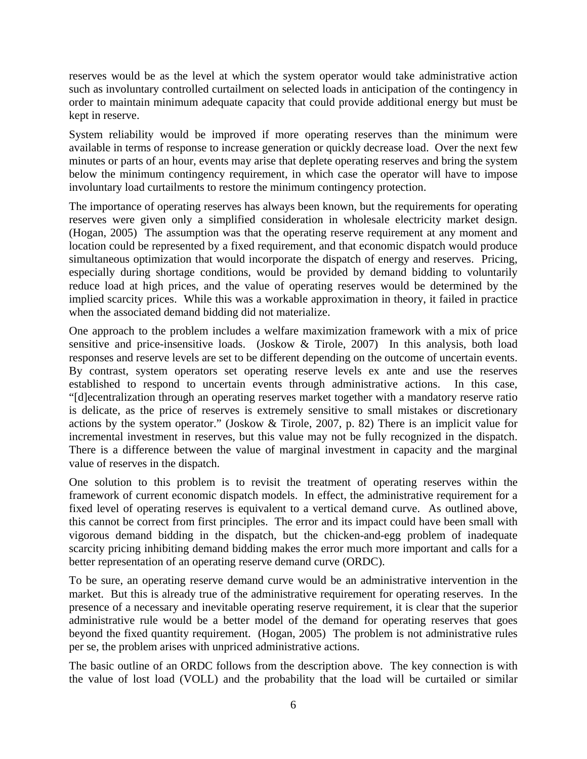reserves would be as the level at which the system operator would take administrative action such as involuntary controlled curtailment on selected loads in anticipation of the contingency in order to maintain minimum adequate capacity that could provide additional energy but must be kept in reserve.

System reliability would be improved if more operating reserves than the minimum were available in terms of response to increase generation or quickly decrease load. Over the next few minutes or parts of an hour, events may arise that deplete operating reserves and bring the system below the minimum contingency requirement, in which case the operator will have to impose involuntary load curtailments to restore the minimum contingency protection.

The importance of operating reserves has always been known, but the requirements for operating reserves were given only a simplified consideration in wholesale electricity market design. (Hogan, 2005) The assumption was that the operating reserve requirement at any moment and location could be represented by a fixed requirement, and that economic dispatch would produce simultaneous optimization that would incorporate the dispatch of energy and reserves. Pricing, especially during shortage conditions, would be provided by demand bidding to voluntarily reduce load at high prices, and the value of operating reserves would be determined by the implied scarcity prices. While this was a workable approximation in theory, it failed in practice when the associated demand bidding did not materialize.

One approach to the problem includes a welfare maximization framework with a mix of price sensitive and price-insensitive loads. (Joskow & Tirole, 2007) In this analysis, both load responses and reserve levels are set to be different depending on the outcome of uncertain events. By contrast, system operators set operating reserve levels ex ante and use the reserves established to respond to uncertain events through administrative actions. In this case, "[d]ecentralization through an operating reserves market together with a mandatory reserve ratio is delicate, as the price of reserves is extremely sensitive to small mistakes or discretionary actions by the system operator." (Joskow & Tirole, 2007, p. 82) There is an implicit value for incremental investment in reserves, but this value may not be fully recognized in the dispatch. There is a difference between the value of marginal investment in capacity and the marginal value of reserves in the dispatch.

One solution to this problem is to revisit the treatment of operating reserves within the framework of current economic dispatch models. In effect, the administrative requirement for a fixed level of operating reserves is equivalent to a vertical demand curve. As outlined above, this cannot be correct from first principles. The error and its impact could have been small with vigorous demand bidding in the dispatch, but the chicken-and-egg problem of inadequate scarcity pricing inhibiting demand bidding makes the error much more important and calls for a better representation of an operating reserve demand curve (ORDC).

To be sure, an operating reserve demand curve would be an administrative intervention in the market. But this is already true of the administrative requirement for operating reserves. In the presence of a necessary and inevitable operating reserve requirement, it is clear that the superior administrative rule would be a better model of the demand for operating reserves that goes beyond the fixed quantity requirement. (Hogan, 2005) The problem is not administrative rules per se, the problem arises with unpriced administrative actions.

The basic outline of an ORDC follows from the description above. The key connection is with the value of lost load (VOLL) and the probability that the load will be curtailed or similar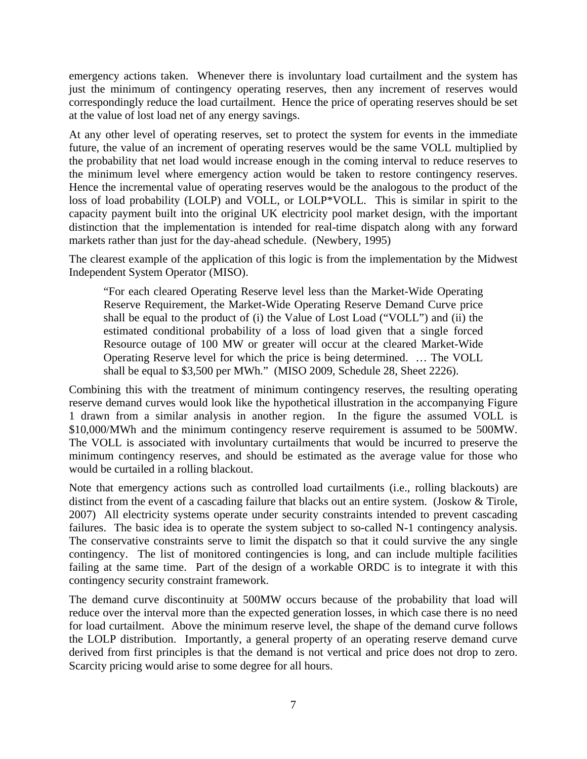emergency actions taken. Whenever there is involuntary load curtailment and the system has just the minimum of contingency operating reserves, then any increment of reserves would correspondingly reduce the load curtailment. Hence the price of operating reserves should be set at the value of lost load net of any energy savings.

At any other level of operating reserves, set to protect the system for events in the immediate future, the value of an increment of operating reserves would be the same VOLL multiplied by the probability that net load would increase enough in the coming interval to reduce reserves to the minimum level where emergency action would be taken to restore contingency reserves. Hence the incremental value of operating reserves would be the analogous to the product of the loss of load probability (LOLP) and VOLL, or LOLP\*VOLL. This is similar in spirit to the capacity payment built into the original UK electricity pool market design, with the important distinction that the implementation is intended for real-time dispatch along with any forward markets rather than just for the day-ahead schedule. (Newbery, 1995)

The clearest example of the application of this logic is from the implementation by the Midwest Independent System Operator (MISO).

"For each cleared Operating Reserve level less than the Market-Wide Operating Reserve Requirement, the Market-Wide Operating Reserve Demand Curve price shall be equal to the product of (i) the Value of Lost Load ("VOLL") and (ii) the estimated conditional probability of a loss of load given that a single forced Resource outage of 100 MW or greater will occur at the cleared Market-Wide Operating Reserve level for which the price is being determined. … The VOLL shall be equal to \$3,500 per MWh." (MISO 2009, Schedule 28, Sheet 2226).

Combining this with the treatment of minimum contingency reserves, the resulting operating reserve demand curves would look like the hypothetical illustration in the accompanying Figure 1 drawn from a similar analysis in another region. In the figure the assumed VOLL is \$10,000/MWh and the minimum contingency reserve requirement is assumed to be 500MW. The VOLL is associated with involuntary curtailments that would be incurred to preserve the minimum contingency reserves, and should be estimated as the average value for those who would be curtailed in a rolling blackout.

Note that emergency actions such as controlled load curtailments (i.e., rolling blackouts) are distinct from the event of a cascading failure that blacks out an entire system. (Joskow & Tirole, 2007) All electricity systems operate under security constraints intended to prevent cascading failures. The basic idea is to operate the system subject to so-called N-1 contingency analysis. The conservative constraints serve to limit the dispatch so that it could survive the any single contingency. The list of monitored contingencies is long, and can include multiple facilities failing at the same time. Part of the design of a workable ORDC is to integrate it with this contingency security constraint framework.

The demand curve discontinuity at 500MW occurs because of the probability that load will reduce over the interval more than the expected generation losses, in which case there is no need for load curtailment. Above the minimum reserve level, the shape of the demand curve follows the LOLP distribution. Importantly, a general property of an operating reserve demand curve derived from first principles is that the demand is not vertical and price does not drop to zero. Scarcity pricing would arise to some degree for all hours.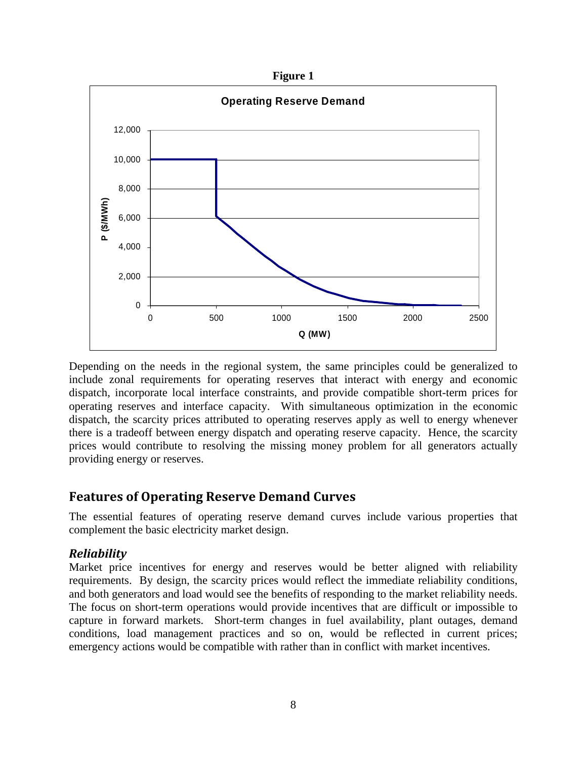**Figure 1** 



Depending on the needs in the regional system, the same principles could be generalized to include zonal requirements for operating reserves that interact with energy and economic dispatch, incorporate local interface constraints, and provide compatible short-term prices for operating reserves and interface capacity. With simultaneous optimization in the economic dispatch, the scarcity prices attributed to operating reserves apply as well to energy whenever there is a tradeoff between energy dispatch and operating reserve capacity. Hence, the scarcity prices would contribute to resolving the missing money problem for all generators actually providing energy or reserves.

# **Features of Operating Reserve Demand Curves**

The essential features of operating reserve demand curves include various properties that complement the basic electricity market design.

### *Reliability*

Market price incentives for energy and reserves would be better aligned with reliability requirements. By design, the scarcity prices would reflect the immediate reliability conditions, and both generators and load would see the benefits of responding to the market reliability needs. The focus on short-term operations would provide incentives that are difficult or impossible to capture in forward markets. Short-term changes in fuel availability, plant outages, demand conditions, load management practices and so on, would be reflected in current prices; emergency actions would be compatible with rather than in conflict with market incentives.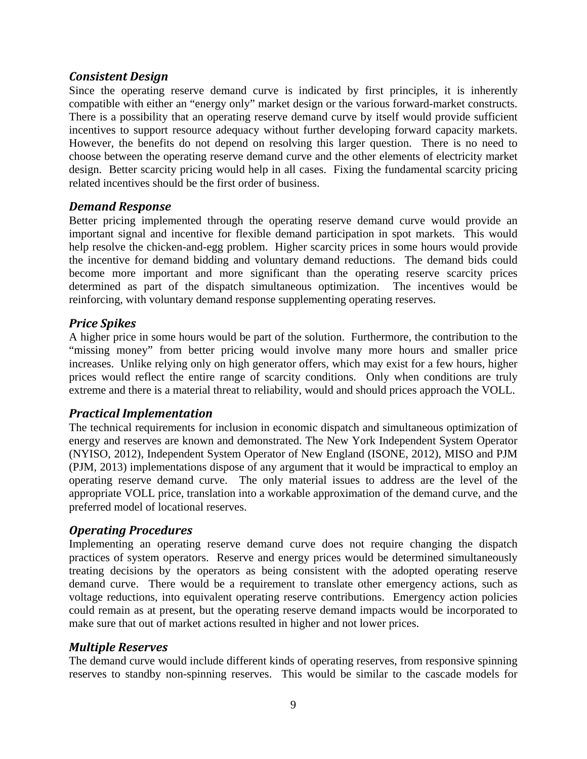#### *Consistent Design*

Since the operating reserve demand curve is indicated by first principles, it is inherently compatible with either an "energy only" market design or the various forward-market constructs. There is a possibility that an operating reserve demand curve by itself would provide sufficient incentives to support resource adequacy without further developing forward capacity markets. However, the benefits do not depend on resolving this larger question. There is no need to choose between the operating reserve demand curve and the other elements of electricity market design. Better scarcity pricing would help in all cases. Fixing the fundamental scarcity pricing related incentives should be the first order of business.

#### *Demand Response*

Better pricing implemented through the operating reserve demand curve would provide an important signal and incentive for flexible demand participation in spot markets. This would help resolve the chicken-and-egg problem. Higher scarcity prices in some hours would provide the incentive for demand bidding and voluntary demand reductions. The demand bids could become more important and more significant than the operating reserve scarcity prices determined as part of the dispatch simultaneous optimization. The incentives would be reinforcing, with voluntary demand response supplementing operating reserves.

#### *Price Spikes*

A higher price in some hours would be part of the solution. Furthermore, the contribution to the "missing money" from better pricing would involve many more hours and smaller price increases. Unlike relying only on high generator offers, which may exist for a few hours, higher prices would reflect the entire range of scarcity conditions. Only when conditions are truly extreme and there is a material threat to reliability, would and should prices approach the VOLL.

#### *Practical Implementation*

The technical requirements for inclusion in economic dispatch and simultaneous optimization of energy and reserves are known and demonstrated. The New York Independent System Operator (NYISO, 2012), Independent System Operator of New England (ISONE, 2012), MISO and PJM (PJM, 2013) implementations dispose of any argument that it would be impractical to employ an operating reserve demand curve. The only material issues to address are the level of the appropriate VOLL price, translation into a workable approximation of the demand curve, and the preferred model of locational reserves.

#### *Operating Procedures*

Implementing an operating reserve demand curve does not require changing the dispatch practices of system operators. Reserve and energy prices would be determined simultaneously treating decisions by the operators as being consistent with the adopted operating reserve demand curve. There would be a requirement to translate other emergency actions, such as voltage reductions, into equivalent operating reserve contributions. Emergency action policies could remain as at present, but the operating reserve demand impacts would be incorporated to make sure that out of market actions resulted in higher and not lower prices.

#### *Multiple Reserves*

The demand curve would include different kinds of operating reserves, from responsive spinning reserves to standby non-spinning reserves. This would be similar to the cascade models for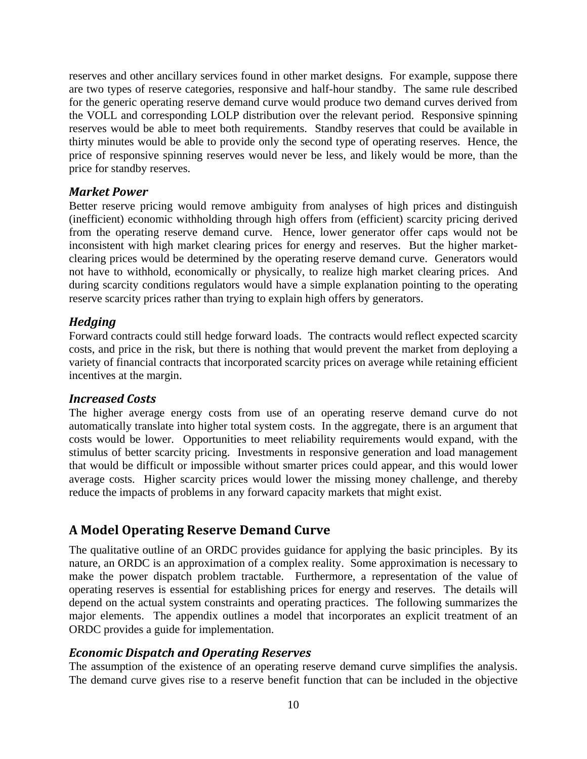reserves and other ancillary services found in other market designs. For example, suppose there are two types of reserve categories, responsive and half-hour standby. The same rule described for the generic operating reserve demand curve would produce two demand curves derived from the VOLL and corresponding LOLP distribution over the relevant period. Responsive spinning reserves would be able to meet both requirements. Standby reserves that could be available in thirty minutes would be able to provide only the second type of operating reserves. Hence, the price of responsive spinning reserves would never be less, and likely would be more, than the price for standby reserves.

#### *Market Power*

Better reserve pricing would remove ambiguity from analyses of high prices and distinguish (inefficient) economic withholding through high offers from (efficient) scarcity pricing derived from the operating reserve demand curve. Hence, lower generator offer caps would not be inconsistent with high market clearing prices for energy and reserves. But the higher marketclearing prices would be determined by the operating reserve demand curve. Generators would not have to withhold, economically or physically, to realize high market clearing prices. And during scarcity conditions regulators would have a simple explanation pointing to the operating reserve scarcity prices rather than trying to explain high offers by generators.

#### *Hedging*

Forward contracts could still hedge forward loads. The contracts would reflect expected scarcity costs, and price in the risk, but there is nothing that would prevent the market from deploying a variety of financial contracts that incorporated scarcity prices on average while retaining efficient incentives at the margin.

#### *Increased Costs*

The higher average energy costs from use of an operating reserve demand curve do not automatically translate into higher total system costs. In the aggregate, there is an argument that costs would be lower. Opportunities to meet reliability requirements would expand, with the stimulus of better scarcity pricing. Investments in responsive generation and load management that would be difficult or impossible without smarter prices could appear, and this would lower average costs. Higher scarcity prices would lower the missing money challenge, and thereby reduce the impacts of problems in any forward capacity markets that might exist.

# **A Model Operating Reserve Demand Curve**

The qualitative outline of an ORDC provides guidance for applying the basic principles. By its nature, an ORDC is an approximation of a complex reality. Some approximation is necessary to make the power dispatch problem tractable. Furthermore, a representation of the value of operating reserves is essential for establishing prices for energy and reserves. The details will depend on the actual system constraints and operating practices. The following summarizes the major elements. The appendix outlines a model that incorporates an explicit treatment of an ORDC provides a guide for implementation.

#### *Economic Dispatch and Operating Reserves*

The assumption of the existence of an operating reserve demand curve simplifies the analysis. The demand curve gives rise to a reserve benefit function that can be included in the objective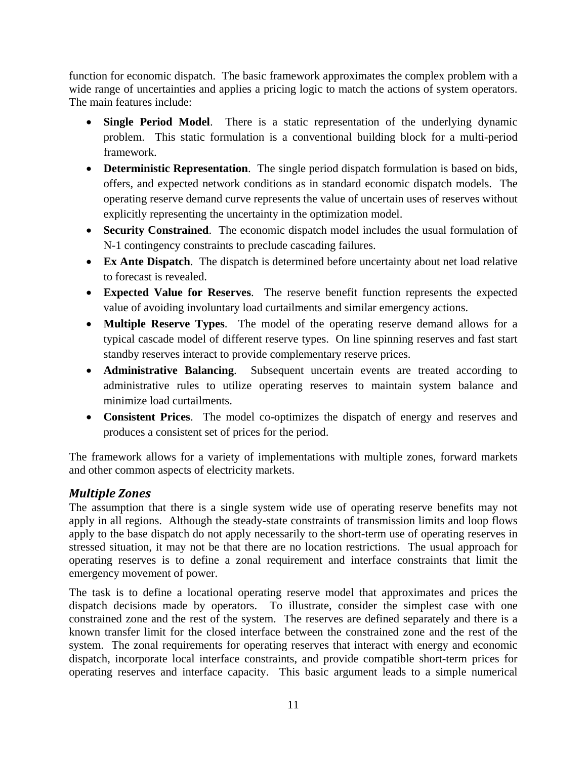function for economic dispatch. The basic framework approximates the complex problem with a wide range of uncertainties and applies a pricing logic to match the actions of system operators. The main features include:

- **Single Period Model**. There is a static representation of the underlying dynamic problem. This static formulation is a conventional building block for a multi-period framework.
- **Deterministic Representation**. The single period dispatch formulation is based on bids, offers, and expected network conditions as in standard economic dispatch models. The operating reserve demand curve represents the value of uncertain uses of reserves without explicitly representing the uncertainty in the optimization model.
- **Security Constrained**. The economic dispatch model includes the usual formulation of N-1 contingency constraints to preclude cascading failures.
- **Ex Ante Dispatch**. The dispatch is determined before uncertainty about net load relative to forecast is revealed.
- **Expected Value for Reserves**. The reserve benefit function represents the expected value of avoiding involuntary load curtailments and similar emergency actions.
- **Multiple Reserve Types**. The model of the operating reserve demand allows for a typical cascade model of different reserve types. On line spinning reserves and fast start standby reserves interact to provide complementary reserve prices.
- **Administrative Balancing**. Subsequent uncertain events are treated according to administrative rules to utilize operating reserves to maintain system balance and minimize load curtailments.
- **Consistent Prices**. The model co-optimizes the dispatch of energy and reserves and produces a consistent set of prices for the period.

The framework allows for a variety of implementations with multiple zones, forward markets and other common aspects of electricity markets.

### *Multiple Zones*

The assumption that there is a single system wide use of operating reserve benefits may not apply in all regions. Although the steady-state constraints of transmission limits and loop flows apply to the base dispatch do not apply necessarily to the short-term use of operating reserves in stressed situation, it may not be that there are no location restrictions. The usual approach for operating reserves is to define a zonal requirement and interface constraints that limit the emergency movement of power.

The task is to define a locational operating reserve model that approximates and prices the dispatch decisions made by operators. To illustrate, consider the simplest case with one constrained zone and the rest of the system. The reserves are defined separately and there is a known transfer limit for the closed interface between the constrained zone and the rest of the system. The zonal requirements for operating reserves that interact with energy and economic dispatch, incorporate local interface constraints, and provide compatible short-term prices for operating reserves and interface capacity. This basic argument leads to a simple numerical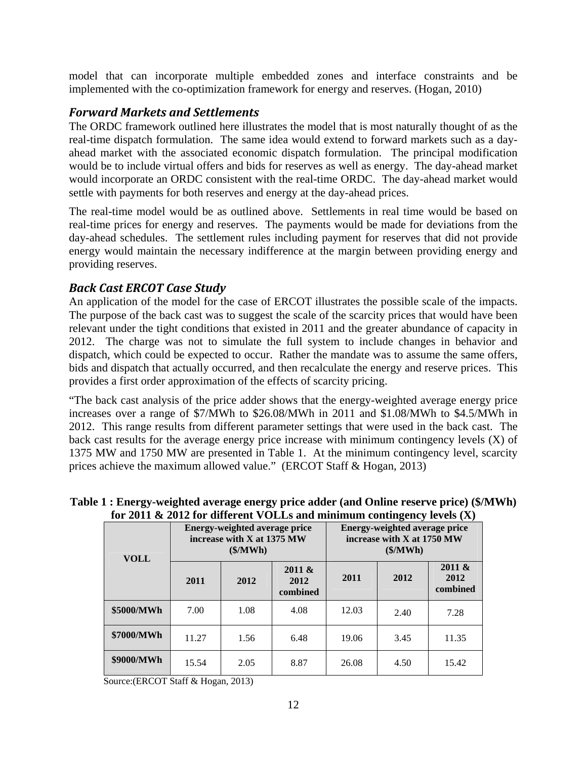model that can incorporate multiple embedded zones and interface constraints and be implemented with the co-optimization framework for energy and reserves. (Hogan, 2010)

#### *Forward Markets and Settlements*

The ORDC framework outlined here illustrates the model that is most naturally thought of as the real-time dispatch formulation. The same idea would extend to forward markets such as a dayahead market with the associated economic dispatch formulation. The principal modification would be to include virtual offers and bids for reserves as well as energy. The day-ahead market would incorporate an ORDC consistent with the real-time ORDC. The day-ahead market would settle with payments for both reserves and energy at the day-ahead prices.

The real-time model would be as outlined above. Settlements in real time would be based on real-time prices for energy and reserves. The payments would be made for deviations from the day-ahead schedules. The settlement rules including payment for reserves that did not provide energy would maintain the necessary indifference at the margin between providing energy and providing reserves.

#### *Back Cast ERCOT Case Study*

An application of the model for the case of ERCOT illustrates the possible scale of the impacts. The purpose of the back cast was to suggest the scale of the scarcity prices that would have been relevant under the tight conditions that existed in 2011 and the greater abundance of capacity in 2012. The charge was not to simulate the full system to include changes in behavior and dispatch, which could be expected to occur. Rather the mandate was to assume the same offers, bids and dispatch that actually occurred, and then recalculate the energy and reserve prices. This provides a first order approximation of the effects of scarcity pricing.

"The back cast analysis of the price adder shows that the energy-weighted average energy price increases over a range of \$7/MWh to \$26.08/MWh in 2011 and \$1.08/MWh to \$4.5/MWh in 2012. This range results from different parameter settings that were used in the back cast. The back cast results for the average energy price increase with minimum contingency levels (X) of 1375 MW and 1750 MW are presented in Table 1. At the minimum contingency level, scarcity prices achieve the maximum allowed value." (ERCOT Staff & Hogan, 2013)

| <b>VOLL</b> | <b>Energy-weighted average price</b><br>increase with X at 1375 MW<br>$(\frac{\mathcal{M}}{\mathbf{W}})$ |      |                            | $\frac{1}{2}$<br><b>Energy-weighted average price</b><br>increase with X at 1750 MW<br>$(\frac{\mathcal{M}}{\mathbf{W}})$ |      |                            |
|-------------|----------------------------------------------------------------------------------------------------------|------|----------------------------|---------------------------------------------------------------------------------------------------------------------------|------|----------------------------|
|             | 2011                                                                                                     | 2012 | 2011 &<br>2012<br>combined | 2011                                                                                                                      | 2012 | 2011 &<br>2012<br>combined |
| \$5000/MWh  | 7.00                                                                                                     | 1.08 | 4.08                       | 12.03                                                                                                                     | 2.40 | 7.28                       |
| \$7000/MWh  | 11.27                                                                                                    | 1.56 | 6.48                       | 19.06                                                                                                                     | 3.45 | 11.35                      |
| \$9000/MWh  | 15.54                                                                                                    | 2.05 | 8.87                       | 26.08                                                                                                                     | 4.50 | 15.42                      |

**Table 1 : Energy-weighted average energy price adder (and Online reserve price) (\$/MWh) for 2011 & 2012 for different VOLLs and minimum contingency levels (X)** 

Source:(ERCOT Staff & Hogan, 2013)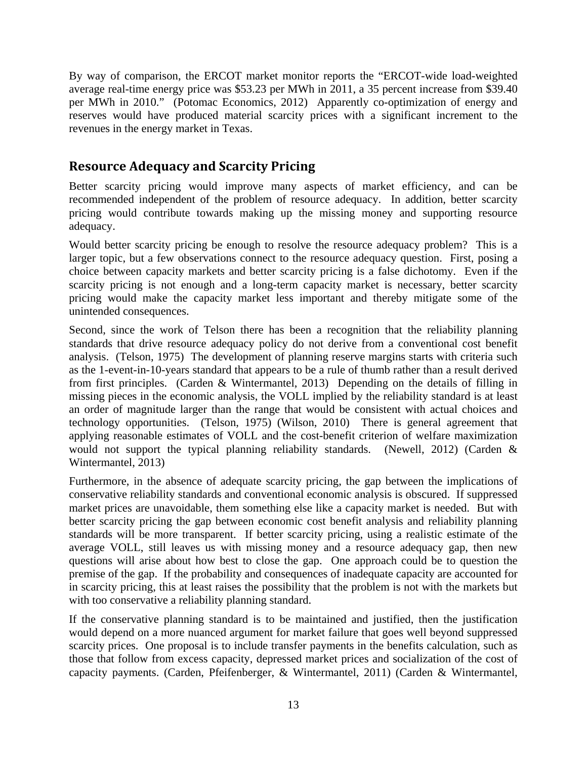By way of comparison, the ERCOT market monitor reports the "ERCOT-wide load-weighted average real-time energy price was \$53.23 per MWh in 2011, a 35 percent increase from \$39.40 per MWh in 2010." (Potomac Economics, 2012) Apparently co-optimization of energy and reserves would have produced material scarcity prices with a significant increment to the revenues in the energy market in Texas.

# **Resource Adequacy and Scarcity Pricing**

Better scarcity pricing would improve many aspects of market efficiency, and can be recommended independent of the problem of resource adequacy. In addition, better scarcity pricing would contribute towards making up the missing money and supporting resource adequacy.

Would better scarcity pricing be enough to resolve the resource adequacy problem? This is a larger topic, but a few observations connect to the resource adequacy question. First, posing a choice between capacity markets and better scarcity pricing is a false dichotomy. Even if the scarcity pricing is not enough and a long-term capacity market is necessary, better scarcity pricing would make the capacity market less important and thereby mitigate some of the unintended consequences.

Second, since the work of Telson there has been a recognition that the reliability planning standards that drive resource adequacy policy do not derive from a conventional cost benefit analysis. (Telson, 1975) The development of planning reserve margins starts with criteria such as the 1-event-in-10-years standard that appears to be a rule of thumb rather than a result derived from first principles. (Carden & Wintermantel, 2013) Depending on the details of filling in missing pieces in the economic analysis, the VOLL implied by the reliability standard is at least an order of magnitude larger than the range that would be consistent with actual choices and technology opportunities. (Telson, 1975) (Wilson, 2010) There is general agreement that applying reasonable estimates of VOLL and the cost-benefit criterion of welfare maximization would not support the typical planning reliability standards. (Newell, 2012) (Carden & Wintermantel, 2013)

Furthermore, in the absence of adequate scarcity pricing, the gap between the implications of conservative reliability standards and conventional economic analysis is obscured. If suppressed market prices are unavoidable, them something else like a capacity market is needed. But with better scarcity pricing the gap between economic cost benefit analysis and reliability planning standards will be more transparent. If better scarcity pricing, using a realistic estimate of the average VOLL, still leaves us with missing money and a resource adequacy gap, then new questions will arise about how best to close the gap. One approach could be to question the premise of the gap. If the probability and consequences of inadequate capacity are accounted for in scarcity pricing, this at least raises the possibility that the problem is not with the markets but with too conservative a reliability planning standard.

If the conservative planning standard is to be maintained and justified, then the justification would depend on a more nuanced argument for market failure that goes well beyond suppressed scarcity prices. One proposal is to include transfer payments in the benefits calculation, such as those that follow from excess capacity, depressed market prices and socialization of the cost of capacity payments. (Carden, Pfeifenberger, & Wintermantel, 2011) (Carden & Wintermantel,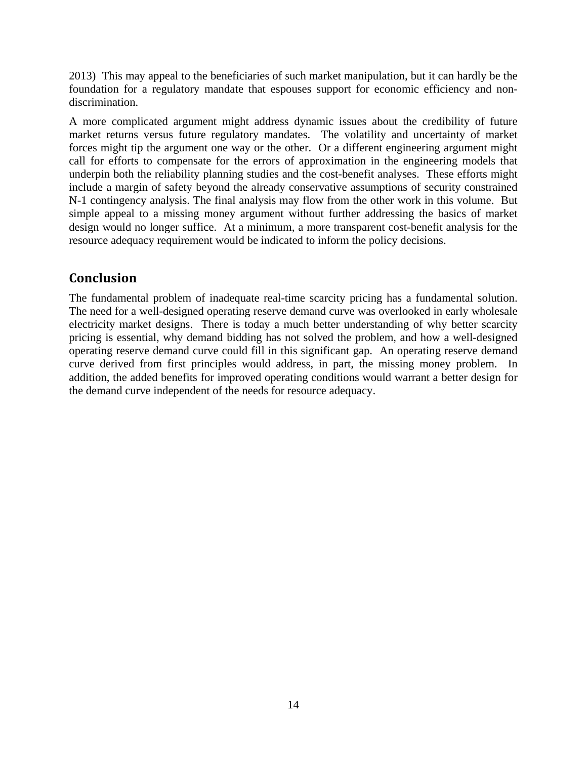2013) This may appeal to the beneficiaries of such market manipulation, but it can hardly be the foundation for a regulatory mandate that espouses support for economic efficiency and nondiscrimination.

A more complicated argument might address dynamic issues about the credibility of future market returns versus future regulatory mandates. The volatility and uncertainty of market forces might tip the argument one way or the other. Or a different engineering argument might call for efforts to compensate for the errors of approximation in the engineering models that underpin both the reliability planning studies and the cost-benefit analyses. These efforts might include a margin of safety beyond the already conservative assumptions of security constrained N-1 contingency analysis. The final analysis may flow from the other work in this volume. But simple appeal to a missing money argument without further addressing the basics of market design would no longer suffice. At a minimum, a more transparent cost-benefit analysis for the resource adequacy requirement would be indicated to inform the policy decisions.

# **Conclusion**

The fundamental problem of inadequate real-time scarcity pricing has a fundamental solution. The need for a well-designed operating reserve demand curve was overlooked in early wholesale electricity market designs. There is today a much better understanding of why better scarcity pricing is essential, why demand bidding has not solved the problem, and how a well-designed operating reserve demand curve could fill in this significant gap. An operating reserve demand curve derived from first principles would address, in part, the missing money problem. In addition, the added benefits for improved operating conditions would warrant a better design for the demand curve independent of the needs for resource adequacy.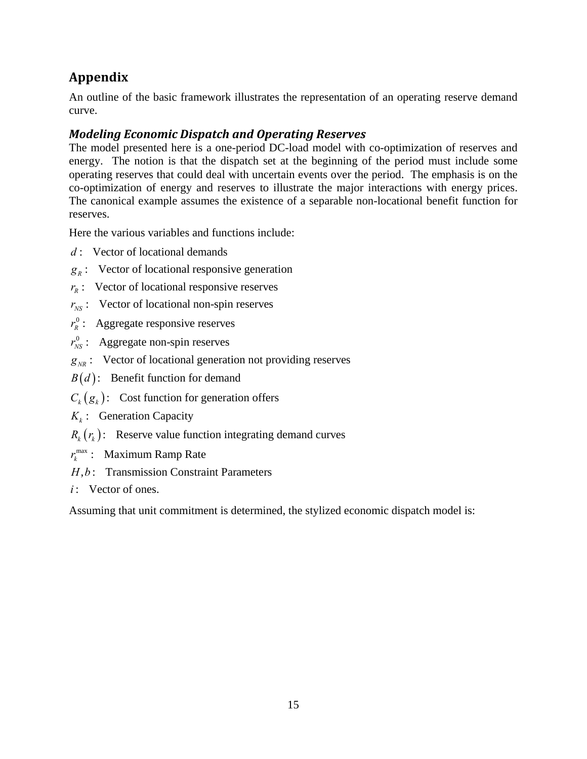# **Appendix**

An outline of the basic framework illustrates the representation of an operating reserve demand curve.

# *Modeling Economic Dispatch and Operating Reserves*

The model presented here is a one-period DC-load model with co-optimization of reserves and energy. The notion is that the dispatch set at the beginning of the period must include some operating reserves that could deal with uncertain events over the period. The emphasis is on the co-optimization of energy and reserves to illustrate the major interactions with energy prices. The canonical example assumes the existence of a separable non-locational benefit function for reserves.

Here the various variables and functions include:

- : Vector of locational demands *d*
- $g_R$ : Vector of locational responsive generation
- $r_R$ : Vector of locational responsive reserves
- $r_{NS}$ : Vector of locational non-spin reserves
- $r_R^0$ : Aggregate responsive reserves
- $r_{NS}^0$ : Aggregate non-spin reserves
- $g_{_{NR}}$ : Vector of locational generation not providing reserves
- : Benefit function for demand *B d*
- $C_k(g_k)$ : Cost function for generation offers
- : Generation Capacity *k K*

 $R_k(r_k)$ : Reserve value function integrating demand curves

- $r_k^{\max}$ : Maximum Ramp Rate
- H, b: Transmission Constraint Parameters
- : Vector of ones. *i*

Assuming that unit commitment is determined, the stylized economic dispatch model is: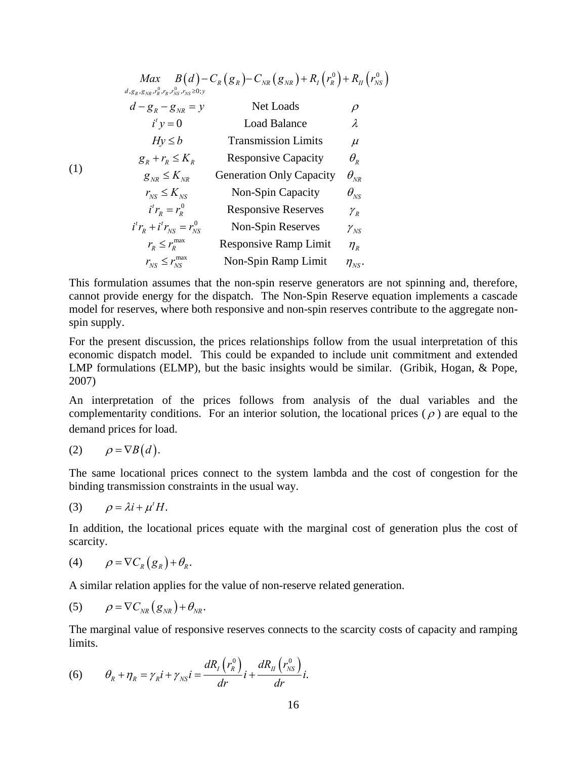| Max                                        | $B(d) - C_R(g_R) - C_{NR}(g_{NR}) + R_I(r_R^0) + R_{II}(r_{NS}^0)$ |               |
|--------------------------------------------|--------------------------------------------------------------------|---------------|
| $d_{g_R,g_N,r_R^0,r_R,r_N^0,s_N \geq 0; y$ | Net Loads                                                          | $\rho$        |
| $d'y = 0$                                  | Local Balance                                                      | $\lambda$     |
| $l'y = 0$                                  | Load Balance                                                       | $\lambda$     |
| $Hy \leq b$                                | Transmission Limits                                                | $\mu$         |
| $g_R + r_R \leq K_R$                       | Response Capacity                                                  | $\theta_R$    |
| $g_{NR} \leq K_{NR}$                       | Generation Only Capacity                                           | $\theta_{NR}$ |
| $r_{NS} \leq K_{NS}$                       | Non-Spin Capacity                                                  | $\theta_{NS}$ |
| $i'r_R = r_R^0$                            | Response Reserves                                                  | $\gamma_R$    |
| $i'r_R + i'r_{NS} = r_{NS}^0$              | Non-Spin Reserves                                                  | $\gamma_{NS}$ |
| $r_R \leq r_R^{\text{max}}$                | Response Ramp Limit                                                | $\eta_R$      |
| $r_{NS} \leq r_{NS}^{\text{max}}$          | Non-Spin Ramp Limit                                                | $\eta_{NS}$   |

This formulation assumes that the non-spin reserve generators are not spinning and, therefore, cannot provide energy for the dispatch. The Non-Spin Reserve equation implements a cascade model for reserves, where both responsive and non-spin reserves contribute to the aggregate nonspin supply.

For the present discussion, the prices relationships follow from the usual interpretation of this economic dispatch model. This could be expanded to include unit commitment and extended LMP formulations (ELMP), but the basic insights would be similar. (Gribik, Hogan, & Pope, 2007)

An interpretation of the prices follows from analysis of the dual variables and the complementarity conditions. For an interior solution, the locational prices ( $\rho$ ) are equal to the demand prices for load.

$$
(2) \qquad \rho = \nabla B(d).
$$

The same locational prices connect to the system lambda and the cost of congestion for the binding transmission constraints in the usual way.

$$
(3) \qquad \rho = \lambda i + \mu^t H.
$$

In addition, the locational prices equate with the marginal cost of generation plus the cost of scarcity.

$$
(4) \qquad \rho = \nabla C_R(g_R) + \theta_R.
$$

A similar relation applies for the value of non-reserve related generation.

$$
(5) \qquad \rho = \nabla C_{NR} (g_{NR}) + \theta_{NR}.
$$

The marginal value of responsive reserves connects to the scarcity costs of capacity and ramping limits.

(6) 
$$
\theta_R + \eta_R = \gamma_R i + \gamma_{NS} i = \frac{dR_I(r_R^0)}{dr} i + \frac{dR_I(r_{NS}^0)}{dr} i.
$$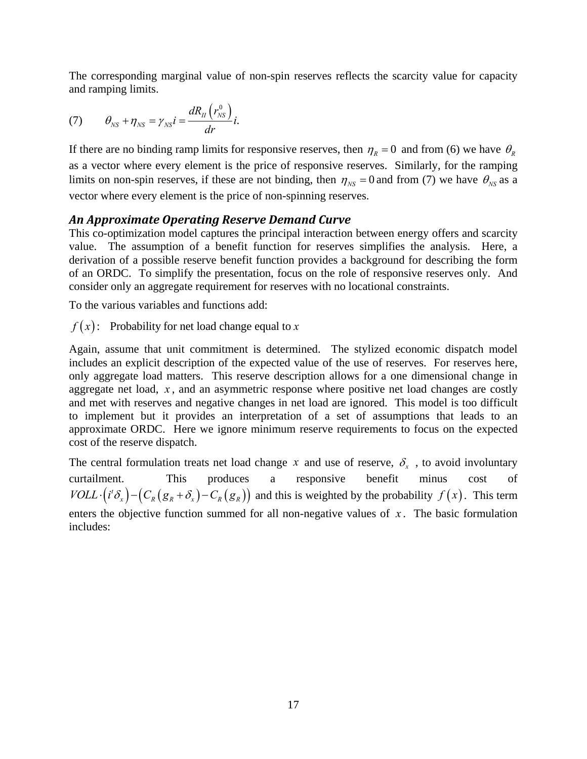The corresponding marginal value of non-spin reserves reflects the scarcity value for capacity and ramping limits.

(7) 
$$
\theta_{NS} + \eta_{NS} = \gamma_{NS} i = \frac{dR_{II}(r_{NS}^0)}{dr} i.
$$

If there are no binding ramp limits for responsive reserves, then  $\eta_R = 0$  and from (6) we have  $\theta_R$ as a vector where every element is the price of responsive reserves. Similarly, for the ramping limits on non-spin reserves, if these are not binding, then  $\eta_{NS} = 0$  and from (7) we have  $\theta_{NS}$  as a vector where every element is the price of non-spinning reserves.

#### *An Approximate Operating Reserve Demand Curve*

This co-optimization model captures the principal interaction between energy offers and scarcity value. The assumption of a benefit function for reserves simplifies the analysis. Here, a derivation of a possible reserve benefit function provides a background for describing the form of an ORDC. To simplify the presentation, focus on the role of responsive reserves only. And consider only an aggregate requirement for reserves with no locational constraints.

To the various variables and functions add:

 $f(x)$ : Probability for net load change equal to x

Again, assume that unit commitment is determined. The stylized economic dispatch model includes an explicit description of the expected value of the use of reserves. For reserves here, only aggregate load matters. This reserve description allows for a one dimensional change in aggregate net load, *x* , and an asymmetric response where positive net load changes are costly and met with reserves and negative changes in net load are ignored. This model is too difficult to implement but it provides an interpretation of a set of assumptions that leads to an approximate ORDC. Here we ignore minimum reserve requirements to focus on the expected cost of the reserve dispatch.

The central formulation treats net load change *x* and use of reserve,  $\delta_{x}$ , to avoid involuntary curtailment. This produces a responsive benefit minus cost of  $VOLL \cdot (i^{t} \delta_{x}) - (C_{R}(g_{R} + \delta_{x}) - C_{R}(g_{R}))$  and this is weighted by the probability  $f(x)$ . This term enters the objective function summed for all non-negative values of  $x$ . The basic formulation includes: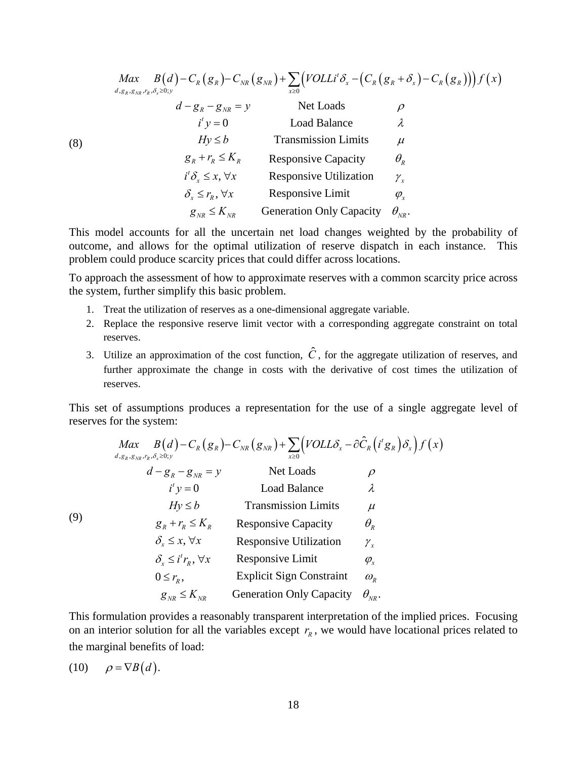| Max<br>$d, g_R, g_{NR}, r_R, \delta_x \geq 0; y$ | $B(d) - C_R(g_R) - C_{NR}(g_{NR}) + \sum (VOLLi^t \delta_x - (C_R(g_R + \delta_x) - C_R(g_R))) f(x)$<br>$x\geq 0$ |                                 |
|--------------------------------------------------|-------------------------------------------------------------------------------------------------------------------|---------------------------------|
| $d - g_R - g_{NR} = y$                           | Net Loads                                                                                                         | $\varrho$                       |
| $i^{\prime}$ y = 0                               | <b>Load Balance</b>                                                                                               | λ                               |
| $Hv \le b$                                       | <b>Transmission Limits</b>                                                                                        | $\mu$                           |
| $g_{R} + r_{R} \leq K_{R}$                       | <b>Responsive Capacity</b>                                                                                        | $\theta_{\scriptscriptstyle R}$ |
| $i^t \delta_x \leq x, \forall x$                 | <b>Responsive Utilization</b>                                                                                     | $\mathcal{Y}_x$                 |
| $\delta_{r} \leq r_{p}, \forall x$               | Responsive Limit                                                                                                  | $\varphi_{\rm r}$               |
| $g_{_{NR}} \leq K_{_{NR}}$                       | <b>Generation Only Capacity</b>                                                                                   | $\theta_{_{NR}}$ .              |

This model accounts for all the uncertain net load changes weighted by the probability of outcome, and allows for the optimal utilization of reserve dispatch in each instance. This problem could produce scarcity prices that could differ across locations.

To approach the assessment of how to approximate reserves with a common scarcity price across the system, further simplify this basic problem.

- 1. Treat the utilization of reserves as a one-dimensional aggregate variable.
- 2. Replace the responsive reserve limit vector with a corresponding aggregate constraint on total reserves.
- 3. Utilize an approximation of the cost function,  $\hat{C}$ , for the aggregate utilization of reserves, and further approximate the change in costs with the derivative of cost times the utilization of reserves.

This set of assumptions produces a representation for the use of a single aggregate level of reserves for the system:

$$
\begin{array}{ccc}\n\text{Max} & B(d) - C_R(g_R) - C_{NR}(g_{NR}) + \sum_{x \ge 0} \left(\text{VOLL}\delta_x - \partial \hat{C}_R(i^t g_R)\delta_x\right) f(x) \\
d - g_R - g_{NR} = y & \text{Net Loads} & \rho \\
i^t y = 0 & \text{Load Balance} & \lambda \\
Hy \le b & \text{Transmission Limits} & \mu \\
g_R + r_R \le K_R & \text{Response Capacity} & \theta_R \\
\delta_x \le x, \forall x & \text{Response Utilization} & \gamma_x \\
\delta_x \le i^t r_R, \forall x & \text{Response Unit} & \phi_x \\
0 \le r_R, & \text{Explicit Sign Constant} & \omega_R \\
g_{NR} \le K_{NR} & \text{Generation Only Capacity} & \theta_{NR}.\n\end{array}
$$

This formulation provides a reasonably transparent interpretation of the implied prices. Focusing on an interior solution for all the variables except  $r_R$ , we would have locational prices related to the marginal benefits of load:

$$
(10) \qquad \rho = \nabla B(d).
$$

(9)

(8)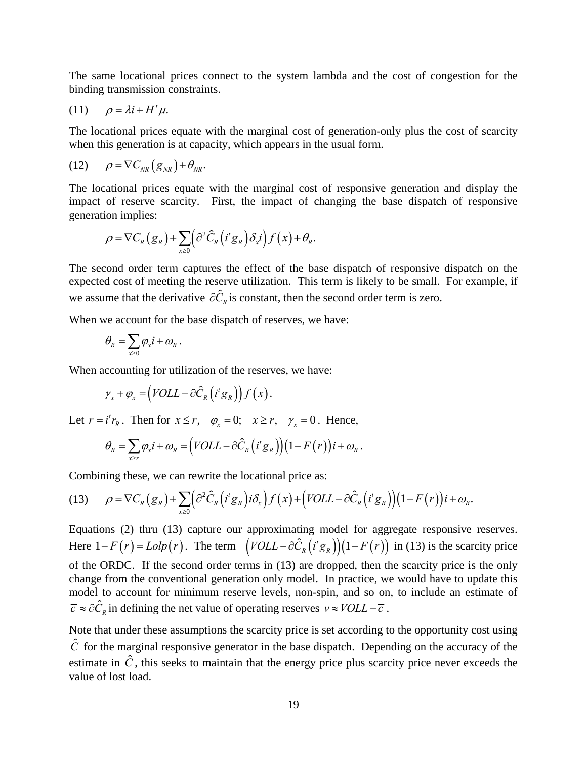The same locational prices connect to the system lambda and the cost of congestion for the binding transmission constraints.

$$
(11) \qquad \rho = \lambda i + H^t \mu.
$$

The locational prices equate with the marginal cost of generation-only plus the cost of scarcity when this generation is at capacity, which appears in the usual form.

$$
(12) \qquad \rho = \nabla C_{NR} (g_{NR}) + \theta_{NR}.
$$

The locational prices equate with the marginal cost of responsive generation and display the impact of reserve scarcity. First, the impact of changing the base dispatch of responsive generation implies:

$$
\rho = \nabla C_R(g_R) + \sum_{x \geq 0} \left( \frac{\partial^2 \hat{C}_R(i^t g_R)}{\partial x^i} \right) f(x) + \theta_R.
$$

The second order term captures the effect of the base dispatch of responsive dispatch on the expected cost of meeting the reserve utilization. This term is likely to be small. For example, if we assume that the derivative  $\partial \hat{C}_R$  is constant, then the second order term is zero.

When we account for the base dispatch of reserves, we have:

$$
\theta_{\boldsymbol{R}} = \sum_{\boldsymbol{x} \geq \boldsymbol{0}} \varphi_{\boldsymbol{x}} \boldsymbol{i} + \boldsymbol{\omega}_{\boldsymbol{R}} \,.
$$

When accounting for utilization of the reserves, we have:

$$
\gamma_x + \varphi_x = \left(VOLL - \partial \hat{C}_R \left( i^t g_R \right) \right) f(x).
$$

Let  $r = i^t r_R$ . Then for  $x \le r$ ,  $\varphi_x = 0$ ;  $x \ge r$ ,  $\gamma_x = 0$ . Hence,

$$
\theta_R = \sum_{x \ge r} \varphi_x i + \omega_R = (VOLL - \partial \hat{C}_R (i^t g_R)) (1 - F(r)) i + \omega_R.
$$

Combining these, we can rewrite the locational price as:

(13) 
$$
\rho = \nabla C_R(g_R) + \sum_{x \geq 0} \left( \frac{\partial^2 \hat{C}_R(i^t g_R) i \delta_x}{\partial x} \right) f(x) + \left( \frac{\text{VOLL} - \partial \hat{C}_R(i^t g_R)}{\partial x} \right) \left( 1 - F(r) \right) i + \omega_R.
$$

Equations (2) thru (13) capture our approximating model for aggregate responsive reserves. Here  $1 - F(r) = L \cdot \frac{L}{r}$ . The term  $\left(\frac{V}{C}L - \frac{\partial \hat{C}_R}{\partial t} \left(i^t g_R\right)\right) \left(1 - F(r)\right)$  in (13) is the scarcity price of the ORDC. If the second order terms in (13) are dropped, then the scarcity price is the only change from the conventional generation only model. In practice, we would have to update this model to account for minimum reserve levels, non-spin, and so on, to include an estimate of  $\overline{c} \approx \partial \hat{C}_R$  in defining the net value of operating reserves  $v \approx \text{VOLL} - \overline{c}$ .

Note that under these assumptions the scarcity price is set according to the opportunity cost using  $\hat{C}$  for the marginal responsive generator in the base dispatch. Depending on the accuracy of the estimate in  $\hat{C}$ , this seeks to maintain that the energy price plus scarcity price never exceeds the value of lost load.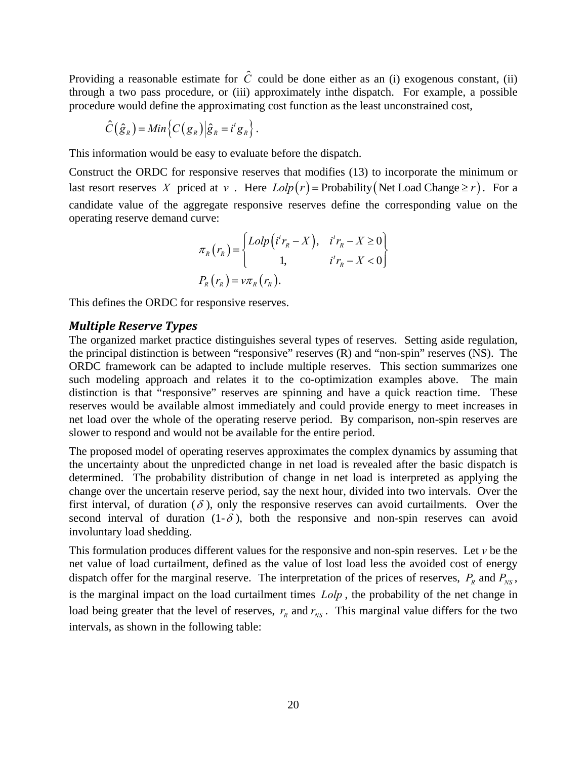Providing a reasonable estimate for  $\hat{C}$  could be done either as an (i) exogenous constant, (ii) through a two pass procedure, or (iii) approximately inthe dispatch. For example, a possible procedure would define the approximating cost function as the least unconstrained cost,

$$
\hat{C}(\hat{g}_R) = Min\big\{C(g_R)\big|\hat{g}_R = i^t g_R\big\}\,.
$$

This information would be easy to evaluate before the dispatch.

Construct the ORDC for responsive reserves that modifies (13) to incorporate the minimum or last resort reserves *X* priced at *v*. Here  $Lolp(r)$  = Probability (Net Load Change  $\geq r$ ). For a candidate value of the aggregate responsive reserves define the corresponding value on the operating reserve demand curve:

$$
\pi_R(r_R) = \begin{cases}\nLolp\left(i'r_R - X\right), & i'r_R - X \ge 0 \\
1, & i'r_R - X < 0\n\end{cases}
$$
\n
$$
P_R(r_R) = v\pi_R(r_R).
$$

This defines the ORDC for responsive reserves.

#### *Multiple Reserve Types*

The organized market practice distinguishes several types of reserves. Setting aside regulation, the principal distinction is between "responsive" reserves (R) and "non-spin" reserves (NS). The ORDC framework can be adapted to include multiple reserves. This section summarizes one such modeling approach and relates it to the co-optimization examples above. The main distinction is that "responsive" reserves are spinning and have a quick reaction time. These reserves would be available almost immediately and could provide energy to meet increases in net load over the whole of the operating reserve period. By comparison, non-spin reserves are slower to respond and would not be available for the entire period.

The proposed model of operating reserves approximates the complex dynamics by assuming that the uncertainty about the unpredicted change in net load is revealed after the basic dispatch is determined. The probability distribution of change in net load is interpreted as applying the change over the uncertain reserve period, say the next hour, divided into two intervals. Over the first interval, of duration  $(\delta)$ , only the responsive reserves can avoid curtailments. Over the second interval of duration  $(1-\delta)$ , both the responsive and non-spin reserves can avoid involuntary load shedding.

This formulation produces different values for the responsive and non-spin reserves. Let  $\nu$  be the net value of load curtailment, defined as the value of lost load less the avoided cost of energy dispatch offer for the marginal reserve. The interpretation of the prices of reserves,  $P_R$  and  $P_{NS}$ , is the marginal impact on the load curtailment times *Lolp* , the probability of the net change in load being greater that the level of reserves,  $r_R$  and  $r_{NS}$ . This marginal value differs for the two intervals, as shown in the following table: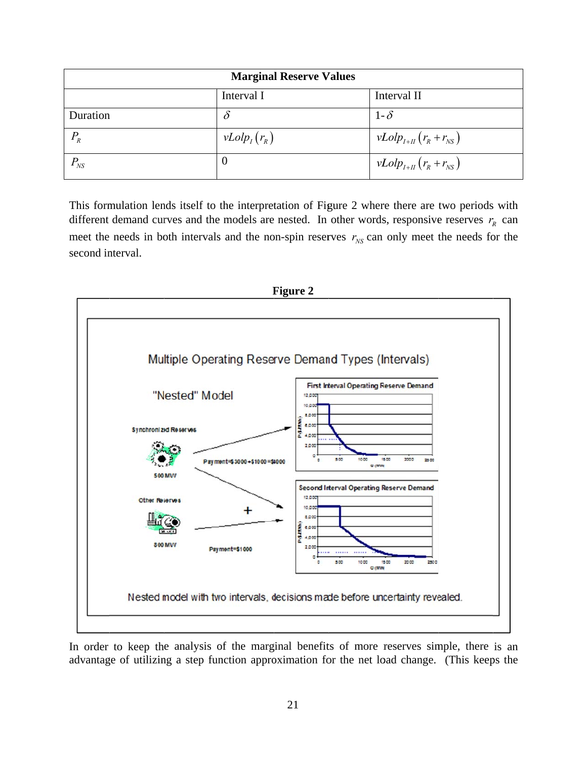| <b>Marginal Reserve Values</b>                                                                   |                  |                            |  |  |  |
|--------------------------------------------------------------------------------------------------|------------------|----------------------------|--|--|--|
|                                                                                                  | Interval I       | Interval II                |  |  |  |
| Duration                                                                                         | $\delta$         | $1-\delta$                 |  |  |  |
| $P_R$                                                                                            | $vLolp_I(r_R)$   | $vLolp_{I+II}(r_R+r_{NS})$ |  |  |  |
| $P_{NS}$                                                                                         | $\boldsymbol{0}$ | $vLolp_{I+II}(r_R+r_{NS})$ |  |  |  |
| This formulation lends itself to the interpretation of Figure 2 where there are two periods with |                  |                            |  |  |  |

different demand curves and the models are nested. In other words, responsive reserves  $r<sub>R</sub>$  can meet the needs in both intervals and the non-spin reserves  $r_{NS}$  can only meet the needs for the second interval.



In order to keep the analysis of the marginal benefits of more reserves simple, there is an advantage of utilizing a step function approximation for the net load change. (This keeps the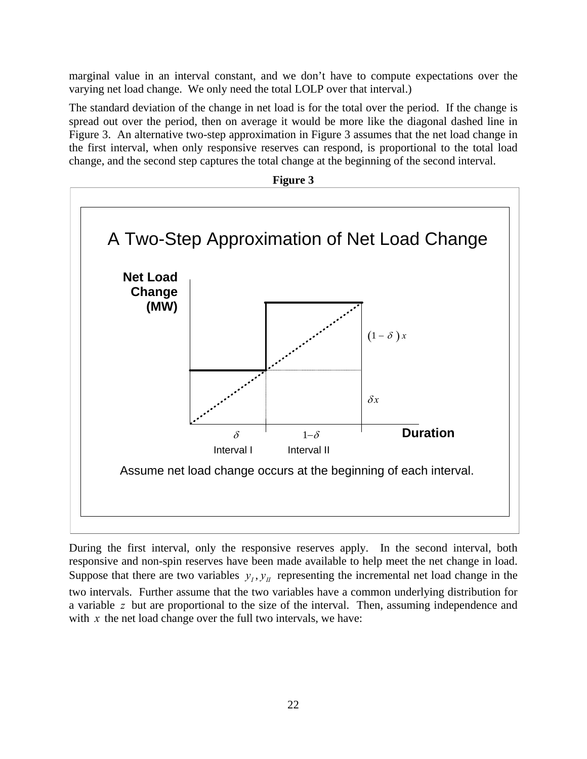marginal value in an interval constant, and we don't have to compute expectations over the varying net load change. We only need the total LOLP over that interval.)

The standard deviation of the change in net load is for the total over the period. If the change is spread out over the period, then on average it would be more like the diagonal dashed line in Figure 3. An alternative two-step approximation in Figure 3 assumes that the net load change in the first interval, when only responsive reserves can respond, is proportional to the total load change, and the second step captures the total change at the beginning of the second interval.



During the first interval, only the responsive reserves apply. In the second interval, both responsive and non-spin reserves have been made available to help meet the net change in load. Suppose that there are two variables  $y_i, y_j$  representing the incremental net load change in the two intervals. Further assume that the two variables have a common underlying distribution for a variable *z* but are proportional to the size of the interval. Then, assuming independence and with *x* the net load change over the full two intervals, we have: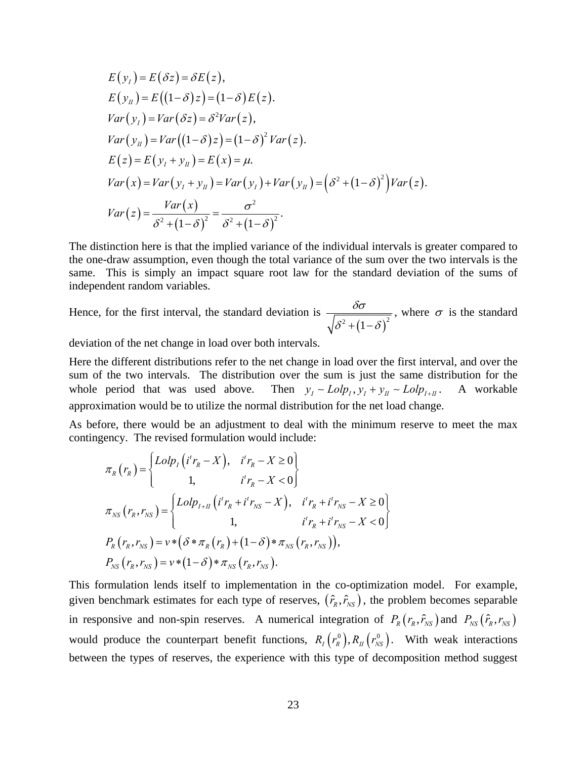$$
E(yI) = E(\delta z) = \delta E(z),
$$
  
\n
$$
E(yH) = E((1-\delta)z) = (1-\delta)E(z).
$$
  
\n
$$
Var(yI) = Var(\delta z) = \delta^2 Var(z),
$$
  
\n
$$
Var(yH) = Var((1-\delta)z) = (1-\delta)^2 Var(z).
$$
  
\n
$$
E(z) = E(yI + yH) = E(x) = \mu.
$$
  
\n
$$
Var(x) = Var(yI + yH) = Var(yI) + Var(yH) = (\delta^2 + (1-\delta)^2)Var(z).
$$
  
\n
$$
Var(z) = \frac{Var(x)}{\delta^2 + (1-\delta)^2} = \frac{\sigma^2}{\delta^2 + (1-\delta)^2}.
$$

The distinction here is that the implied variance of the individual intervals is greater compared to the one-draw assumption, even though the total variance of the sum over the two intervals is the same. This is simply an impact square root law for the standard deviation of the sums of independent random variables.

Hence, for the first interval, the standard deviation is  $^{2}+(1-\delta)^{2}$  $\delta\!\sigma$  $\delta^2 + (1-\delta$ , where  $\sigma$  is the standard

deviation of the net change in load over both intervals.

Here the different distributions refer to the net change in load over the first interval, and over the sum of the two intervals. The distribution over the sum is just the same distribution for the whole period that was used above. Then  $y_i \sim L o l p_i$ ,  $y_i + y_n \sim L o l p_{i+1}$ . A workable approximation would be to utilize the normal distribution for the net load change.

As before, there would be an adjustment to deal with the minimum reserve to meet the max contingency. The revised formulation would include:

$$
\pi_{R}(r_{R}) = \begin{cases}\nLolp_{I}(i^{t}r_{R} - X), & i^{t}r_{R} - X \ge 0 \\
1, & i^{t}r_{R} - X < 0\n\end{cases}
$$
\n
$$
\pi_{NS}(r_{R}, r_{NS}) = \begin{cases}\nLolp_{I+II}(i^{t}r_{R} + i^{t}r_{NS} - X), & i^{t}r_{R} + i^{t}r_{NS} - X \ge 0 \\
1, & i^{t}r_{R} + i^{t}r_{NS} - X < 0\n\end{cases}
$$
\n
$$
P_{R}(r_{R}, r_{NS}) = v * (\delta * \pi_{R}(r_{R}) + (1 - \delta) * \pi_{NS}(r_{R}, r_{NS})),
$$
\n
$$
P_{NS}(r_{R}, r_{NS}) = v * (1 - \delta) * \pi_{NS}(r_{R}, r_{NS}).
$$

This formulation lends itself to implementation in the co-optimization model. For example, given benchmark estimates for each type of reserves,  $(\hat{r}_R, \hat{r}_{NS})$ , the problem becomes separable in responsive and non-spin reserves. A numerical integration of  $P_R(r_R, \hat{r}_{NS})$  and  $P_{NS}(\hat{r}_R, r_{NS})$ would produce the counterpart benefit functions,  $R_I(r_R^0), R_I(r_{NS}^0)$ . With weak interactions between the types of reserves, the experience with this type of decomposition method suggest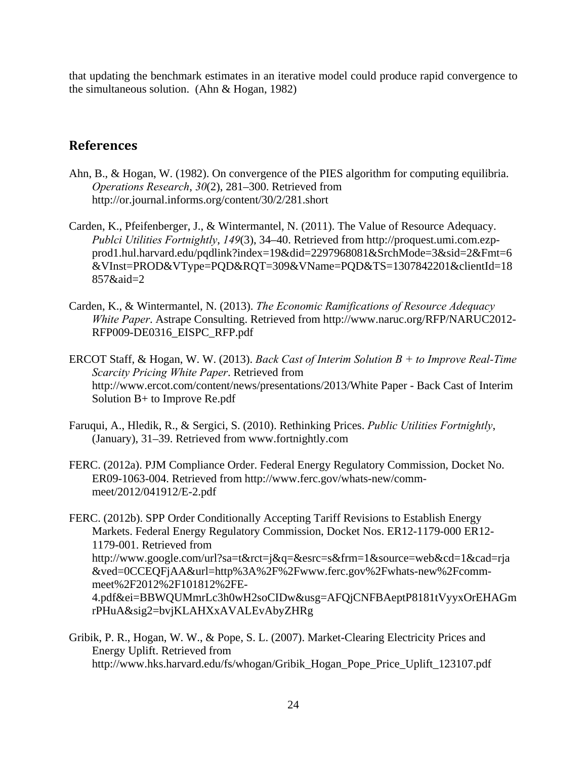that updating the benchmark estimates in an iterative model could produce rapid convergence to the simultaneous solution. (Ahn & Hogan, 1982)

## **References**

- Ahn, B., & Hogan, W. (1982). On convergence of the PIES algorithm for computing equilibria. *Operations Research*, *30*(2), 281–300. Retrieved from http://or.journal.informs.org/content/30/2/281.short
- Carden, K., Pfeifenberger, J., & Wintermantel, N. (2011). The Value of Resource Adequacy. *Publci Utilities Fortnightly*, *149*(3), 34–40. Retrieved from http://proquest.umi.com.ezpprod1.hul.harvard.edu/pqdlink?index=19&did=2297968081&SrchMode=3&sid=2&Fmt=6 &VInst=PROD&VType=PQD&RQT=309&VName=PQD&TS=1307842201&clientId=18 857&aid=2
- Carden, K., & Wintermantel, N. (2013). *The Economic Ramifications of Resource Adequacy White Paper*. Astrape Consulting. Retrieved from http://www.naruc.org/RFP/NARUC2012- RFP009-DE0316\_EISPC\_RFP.pdf
- ERCOT Staff, & Hogan, W. W. (2013). *Back Cast of Interim Solution B + to Improve Real-Time Scarcity Pricing White Paper*. Retrieved from http://www.ercot.com/content/news/presentations/2013/White Paper - Back Cast of Interim Solution B+ to Improve Re.pdf
- Faruqui, A., Hledik, R., & Sergici, S. (2010). Rethinking Prices. *Public Utilities Fortnightly*, (January), 31–39. Retrieved from www.fortnightly.com
- FERC. (2012a). PJM Compliance Order. Federal Energy Regulatory Commission, Docket No. ER09-1063-004. Retrieved from http://www.ferc.gov/whats-new/commmeet/2012/041912/E-2.pdf
- FERC. (2012b). SPP Order Conditionally Accepting Tariff Revisions to Establish Energy Markets. Federal Energy Regulatory Commission, Docket Nos. ER12-1179-000 ER12- 1179-001. Retrieved from http://www.google.com/url?sa=t&rct=j&q=&esrc=s&frm=1&source=web&cd=1&cad=rja &ved=0CCEQFjAA&url=http%3A%2F%2Fwww.ferc.gov%2Fwhats-new%2Fcommmeet%2F2012%2F101812%2FE-4.pdf&ei=BBWQUMmrLc3h0wH2soCIDw&usg=AFQjCNFBAeptP8181tVyyxOrEHAGm rPHuA&sig2=bvjKLAHXxAVALEvAbyZHRg
- Gribik, P. R., Hogan, W. W., & Pope, S. L. (2007). Market-Clearing Electricity Prices and Energy Uplift. Retrieved from http://www.hks.harvard.edu/fs/whogan/Gribik\_Hogan\_Pope\_Price\_Uplift\_123107.pdf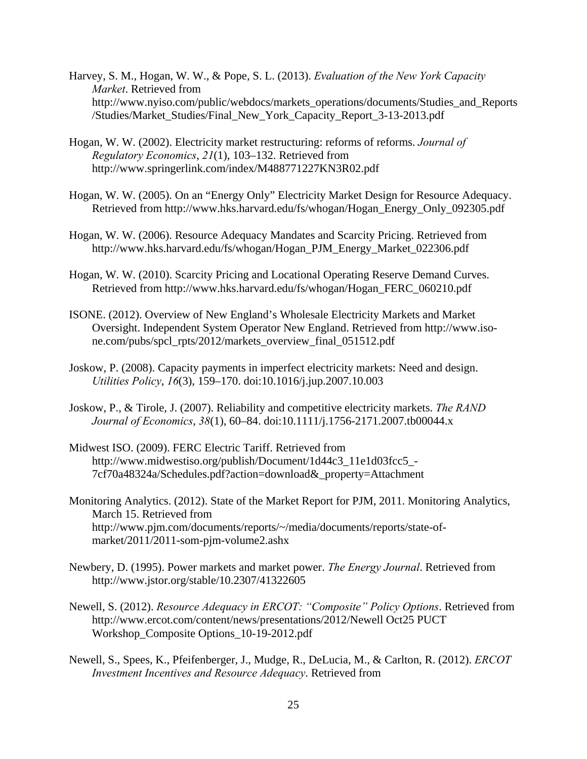- Harvey, S. M., Hogan, W. W., & Pope, S. L. (2013). *Evaluation of the New York Capacity Market*. Retrieved from http://www.nyiso.com/public/webdocs/markets\_operations/documents/Studies\_and\_Reports /Studies/Market\_Studies/Final\_New\_York\_Capacity\_Report\_3-13-2013.pdf
- Hogan, W. W. (2002). Electricity market restructuring: reforms of reforms. *Journal of Regulatory Economics*, *21*(1), 103–132. Retrieved from http://www.springerlink.com/index/M488771227KN3R02.pdf
- Hogan, W. W. (2005). On an "Energy Only" Electricity Market Design for Resource Adequacy. Retrieved from http://www.hks.harvard.edu/fs/whogan/Hogan\_Energy\_Only\_092305.pdf
- Hogan, W. W. (2006). Resource Adequacy Mandates and Scarcity Pricing. Retrieved from http://www.hks.harvard.edu/fs/whogan/Hogan\_PJM\_Energy\_Market\_022306.pdf
- Hogan, W. W. (2010). Scarcity Pricing and Locational Operating Reserve Demand Curves. Retrieved from http://www.hks.harvard.edu/fs/whogan/Hogan\_FERC\_060210.pdf
- ISONE. (2012). Overview of New England's Wholesale Electricity Markets and Market Oversight. Independent System Operator New England. Retrieved from http://www.isone.com/pubs/spcl\_rpts/2012/markets\_overview\_final\_051512.pdf
- Joskow, P. (2008). Capacity payments in imperfect electricity markets: Need and design. *Utilities Policy*, *16*(3), 159–170. doi:10.1016/j.jup.2007.10.003
- Joskow, P., & Tirole, J. (2007). Reliability and competitive electricity markets. *The RAND Journal of Economics*, *38*(1), 60–84. doi:10.1111/j.1756-2171.2007.tb00044.x
- Midwest ISO. (2009). FERC Electric Tariff. Retrieved from http://www.midwestiso.org/publish/Document/1d44c3\_11e1d03fcc5\_- 7cf70a48324a/Schedules.pdf?action=download&\_property=Attachment
- Monitoring Analytics. (2012). State of the Market Report for PJM, 2011. Monitoring Analytics, March 15. Retrieved from http://www.pjm.com/documents/reports/~/media/documents/reports/state-ofmarket/2011/2011-som-pjm-volume2.ashx
- Newbery, D. (1995). Power markets and market power. *The Energy Journal*. Retrieved from http://www.jstor.org/stable/10.2307/41322605
- Newell, S. (2012). *Resource Adequacy in ERCOT: "Composite" Policy Options*. Retrieved from http://www.ercot.com/content/news/presentations/2012/Newell Oct25 PUCT Workshop\_Composite Options\_10-19-2012.pdf
- Newell, S., Spees, K., Pfeifenberger, J., Mudge, R., DeLucia, M., & Carlton, R. (2012). *ERCOT Investment Incentives and Resource Adequacy*. Retrieved from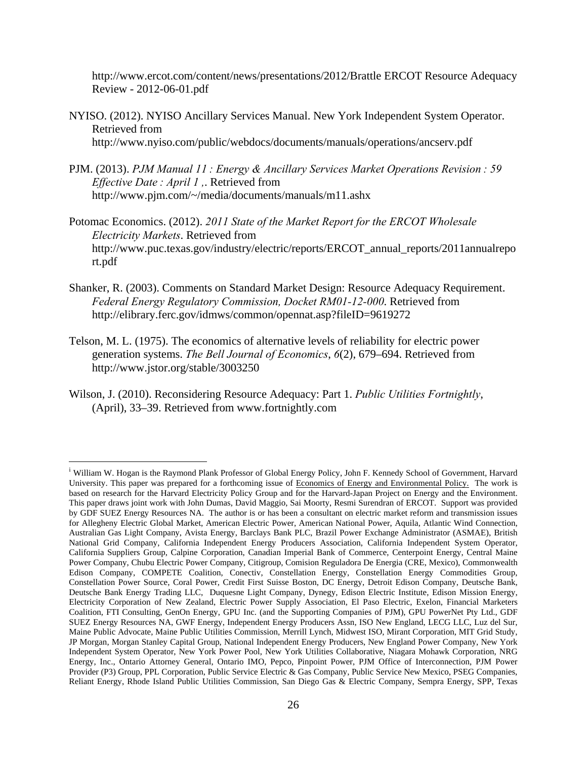http://www.ercot.com/content/news/presentations/2012/Brattle ERCOT Resource Adequacy Review - 2012-06-01.pdf

- NYISO. (2012). NYISO Ancillary Services Manual. New York Independent System Operator. Retrieved from http://www.nyiso.com/public/webdocs/documents/manuals/operations/ancserv.pdf
- PJM. (2013). *PJM Manual 11 : Energy & Ancillary Services Market Operations Revision : 59 Effective Date : April 1 ,*. Retrieved from http://www.pjm.com/~/media/documents/manuals/m11.ashx
- Potomac Economics. (2012). *2011 State of the Market Report for the ERCOT Wholesale Electricity Markets*. Retrieved from http://www.puc.texas.gov/industry/electric/reports/ERCOT\_annual\_reports/2011annualrepo rt.pdf
- Shanker, R. (2003). Comments on Standard Market Design: Resource Adequacy Requirement. *Federal Energy Regulatory Commission, Docket RM01-12-000*. Retrieved from http://elibrary.ferc.gov/idmws/common/opennat.asp?fileID=9619272
- Telson, M. L. (1975). The economics of alternative levels of reliability for electric power generation systems. *The Bell Journal of Economics*, *6*(2), 679–694. Retrieved from http://www.jstor.org/stable/3003250
- Wilson, J. (2010). Reconsidering Resource Adequacy: Part 1. *Public Utilities Fortnightly*, (April), 33–39. Retrieved from www.fortnightly.com

 $\overline{a}$ 

<sup>&</sup>lt;sup>i</sup> William W. Hogan is the Raymond Plank Professor of Global Energy Policy, John F. Kennedy School of Government, Harvard University. This paper was prepared for a forthcoming issue of Economics of Energy and Environmental Policy. The work is based on research for the Harvard Electricity Policy Group and for the Harvard-Japan Project on Energy and the Environment. This paper draws joint work with John Dumas, David Maggio, Sai Moorty, Resmi Surendran of ERCOT. Support was provided by GDF SUEZ Energy Resources NA. The author is or has been a consultant on electric market reform and transmission issues for Allegheny Electric Global Market, American Electric Power, American National Power, Aquila, Atlantic Wind Connection, Australian Gas Light Company, Avista Energy, Barclays Bank PLC, Brazil Power Exchange Administrator (ASMAE), British National Grid Company, California Independent Energy Producers Association, California Independent System Operator, California Suppliers Group, Calpine Corporation, Canadian Imperial Bank of Commerce, Centerpoint Energy, Central Maine Power Company, Chubu Electric Power Company, Citigroup, Comision Reguladora De Energia (CRE, Mexico), Commonwealth Edison Company, COMPETE Coalition, Conectiv, Constellation Energy, Constellation Energy Commodities Group, Constellation Power Source, Coral Power, Credit First Suisse Boston, DC Energy, Detroit Edison Company, Deutsche Bank, Deutsche Bank Energy Trading LLC, Duquesne Light Company, Dynegy, Edison Electric Institute, Edison Mission Energy, Electricity Corporation of New Zealand, Electric Power Supply Association, El Paso Electric, Exelon, Financial Marketers Coalition, FTI Consulting, GenOn Energy, GPU Inc. (and the Supporting Companies of PJM), GPU PowerNet Pty Ltd., GDF SUEZ Energy Resources NA, GWF Energy, Independent Energy Producers Assn, ISO New England, LECG LLC, Luz del Sur, Maine Public Advocate, Maine Public Utilities Commission, Merrill Lynch, Midwest ISO, Mirant Corporation, MIT Grid Study, JP Morgan, Morgan Stanley Capital Group, National Independent Energy Producers, New England Power Company, New York Independent System Operator, New York Power Pool, New York Utilities Collaborative, Niagara Mohawk Corporation, NRG Energy, Inc., Ontario Attorney General, Ontario IMO, Pepco, Pinpoint Power, PJM Office of Interconnection, PJM Power Provider (P3) Group, PPL Corporation, Public Service Electric & Gas Company, Public Service New Mexico, PSEG Companies, Reliant Energy, Rhode Island Public Utilities Commission, San Diego Gas & Electric Company, Sempra Energy, SPP, Texas